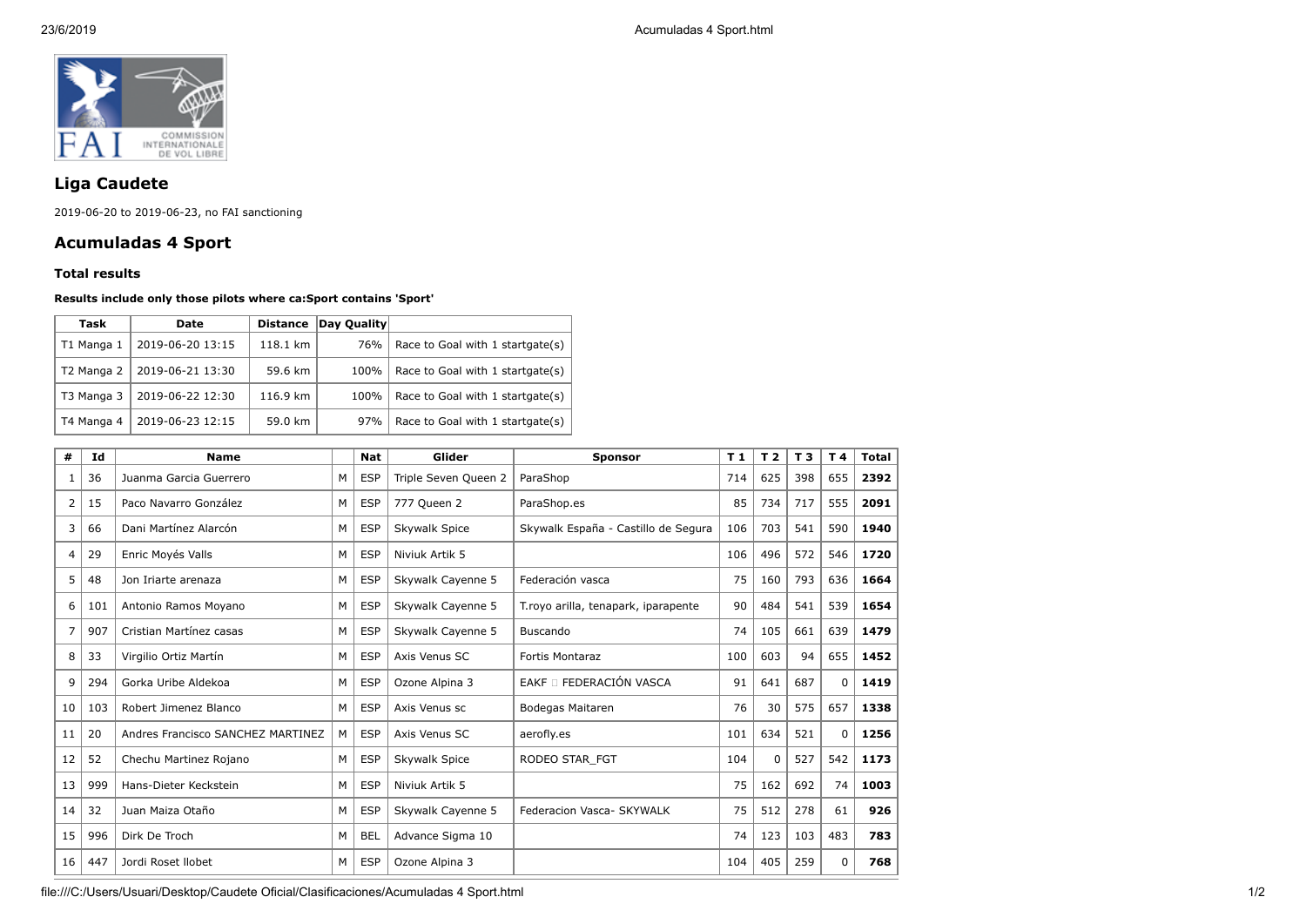

## **Liga Caudete**

2019-06-20 to 2019-06-23, no FAI sanctioning

## **Acumuladas 4 Sport**

## **Total results**

## **Results include only those pilots where ca:Sport contains 'Sport'**

| Task       | Date             | <b>Distance</b> | Day Quality |                                  |
|------------|------------------|-----------------|-------------|----------------------------------|
| T1 Manga 1 | 2019-06-20 13:15 | 118.1 km        | 76%         | Race to Goal with 1 startgate(s) |
| T2 Manga 2 | 2019-06-21 13:30 | 59.6 km         | 100%        | Race to Goal with 1 startgate(s) |
| T3 Manga 3 | 2019-06-22 12:30 | 116.9 km        | 100%        | Race to Goal with 1 startgate(s) |
| T4 Manga 4 | 2019-06-23 12:15 | 59.0 km         | 97%         | Race to Goal with 1 startgate(s) |

| #  | Id  | <b>Name</b>                       |   | <b>Nat</b> | Glider               | <b>Sponsor</b>                       | T <sub>1</sub> | T <sub>2</sub> | T <sub>3</sub> | T 4      | <b>Total</b> |
|----|-----|-----------------------------------|---|------------|----------------------|--------------------------------------|----------------|----------------|----------------|----------|--------------|
|    | 36  | Juanma Garcia Guerrero            | M | <b>ESP</b> | Triple Seven Queen 2 | ParaShop                             | 714            | 625            | 398            | 655      | 2392         |
| 2  | 15  | Paco Navarro González             | M | <b>ESP</b> | 777 Queen 2          | ParaShop.es                          | 85             | 734            | 717            | 555      | 2091         |
| 3  | 66  | Dani Martínez Alarcón             | M | <b>ESP</b> | Skywalk Spice        | Skywalk España - Castillo de Segura  | 106            | 703            | 541            | 590      | 1940         |
| 4  | 29  | Enric Moyés Valls                 | M | <b>ESP</b> | Niviuk Artik 5       |                                      | 106            | 496            | 572            | 546      | 1720         |
| 5  | 48  | Jon Iriarte arenaza               | M | <b>ESP</b> | Skywalk Cayenne 5    | Federación vasca                     | 75             | 160            | 793            | 636      | 1664         |
| 6  | 101 | Antonio Ramos Moyano              | M | <b>ESP</b> | Skywalk Cayenne 5    | T. royo arilla, tenapark, iparapente | 90             | 484            | 541            | 539      | 1654         |
| 7  | 907 | Cristian Martínez casas           | M | <b>ESP</b> | Skywalk Cayenne 5    | <b>Buscando</b>                      | 74             | 105            | 661            | 639      | 1479         |
| 8  | 33  | Virgilio Ortiz Martín             | M | <b>ESP</b> | Axis Venus SC        | <b>Fortis Montaraz</b>               | 100            | 603            | 94             | 655      | 1452         |
| 9  | 294 | Gorka Uribe Aldekoa               | M | <b>ESP</b> | Ozone Alpina 3       | EAKF O FEDERACIÓN VASCA              | 91             | 641            | 687            | $\Omega$ | 1419         |
| 10 | 103 | Robert Jimenez Blanco             | M | <b>ESP</b> | Axis Venus sc        | Bodegas Maitaren                     | 76             | 30             | 575            | 657      | 1338         |
| 11 | 20  | Andres Francisco SANCHEZ MARTINEZ | M | <b>ESP</b> | Axis Venus SC        | aerofly.es                           | 101            | 634            | 521            | 0        | 1256         |
| 12 | 52  | Chechu Martinez Rojano            | M | <b>ESP</b> | Skywalk Spice        | RODEO STAR FGT                       | 104            | 0              | 527            | 542      | 1173         |
| 13 | 999 | Hans-Dieter Keckstein             | M | <b>ESP</b> | Niviuk Artik 5       |                                      | 75             | 162            | 692            | 74       | 1003         |
| 14 | 32  | Juan Maiza Otaño                  | M | <b>ESP</b> | Skywalk Cayenne 5    | Federacion Vasca- SKYWALK            | 75             | 512            | 278            | 61       | 926          |
| 15 | 996 | Dirk De Troch                     | M | <b>BEL</b> | Advance Sigma 10     |                                      | 74             | 123            | 103            | 483      | 783          |
| 16 | 447 | Jordi Roset Ilobet                | M | <b>ESP</b> | Ozone Alpina 3       |                                      | 104            | 405            | 259            | 0        | 768          |

file:///C:/Users/Usuari/Desktop/Caudete Oficial/Clasificaciones/Acumuladas 4 Sport.html 1/2